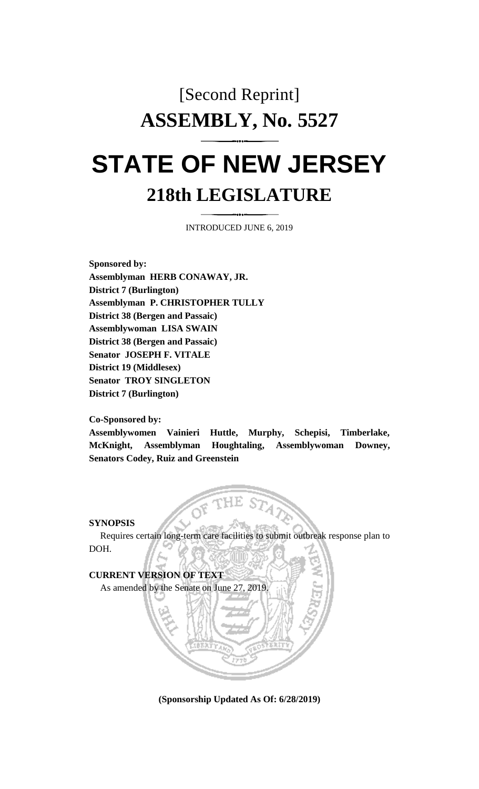# [Second Reprint] **ASSEMBLY, No. 5527**

## **STATE OF NEW JERSEY 218th LEGISLATURE**

INTRODUCED JUNE 6, 2019

**Sponsored by: Assemblyman HERB CONAWAY, JR. District 7 (Burlington) Assemblyman P. CHRISTOPHER TULLY District 38 (Bergen and Passaic) Assemblywoman LISA SWAIN District 38 (Bergen and Passaic) Senator JOSEPH F. VITALE District 19 (Middlesex) Senator TROY SINGLETON District 7 (Burlington)**

#### **Co-Sponsored by:**

**Assemblywomen Vainieri Huttle, Murphy, Schepisi, Timberlake, McKnight, Assemblyman Houghtaling, Assemblywoman Downey, Senators Codey, Ruiz and Greenstein**

#### **SYNOPSIS**

Requires certain long-term care facilities to submit outbreak response plan to DOH.

### **CURRENT VERSION OF TEXT**  As amended by the Senate on June 27, 2019.

**(Sponsorship Updated As Of: 6/28/2019)**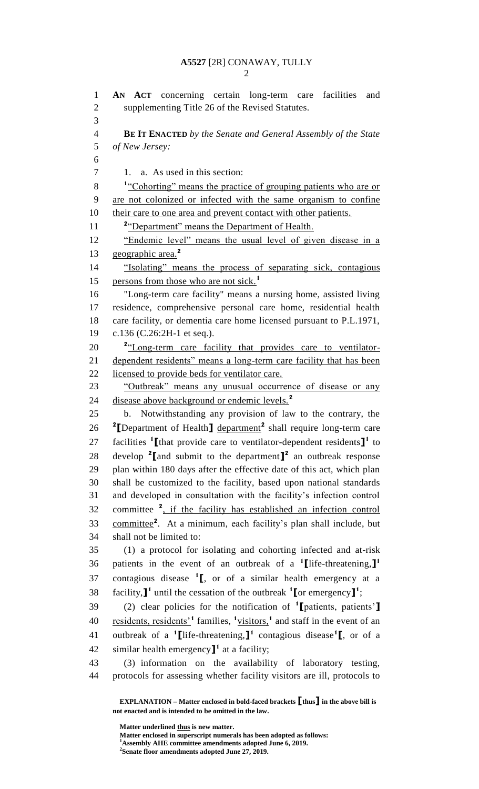**AN ACT** concerning certain long-term care facilities and supplementing Title 26 of the Revised Statutes. **BE IT ENACTED** *by the Senate and General Assembly of the State of New Jersey:* 1. a. As used in this section: <sup>1</sup> <u>Cohorting</u>" means the practice of grouping patients who are or are not colonized or infected with the same organism to confine 10 their care to one area and prevent contact with other patients. 11 <sup>2</sup> <u>"Department" means the Department of Health.</u> "Endemic level" means the usual level of given disease in a geographic area.**<sup>2</sup>** "Isolating" means the process of separating sick, contagious persons from those who are not sick.**<sup>1</sup>** "Long-term care facility" means a nursing home, assisted living residence, comprehensive personal care home, residential health care facility, or dementia care home licensed pursuant to P.L.1971, c.136 (C.26:2H-1 et seq.). 20 <sup>2</sup> Long-term care facility that provides care to ventilator- dependent residents" means a long-term care facility that has been licensed to provide beds for ventilator care. "Outbreak" means any unusual occurrence of disease or any disease above background or endemic levels.**<sup>2</sup>** b. Notwithstanding any provision of law to the contrary, the 26 <sup>2</sup> [Department of Health<sub>1</sub> department<sup>2</sup> shall require long-term care 27 facilities <sup>1</sup>[that provide care to ventilator-dependent residents]<sup>1</sup> to 28 develop [and submit to the department]<sup>2</sup> an outbreak response plan within 180 days after the effective date of this act, which plan shall be customized to the facility, based upon national standards and developed in consultation with the facility's infection control 32 committee <sup>2</sup>, if the facility has established an infection control 33 committee<sup>2</sup>. At a minimum, each facility's plan shall include, but shall not be limited to: (1) a protocol for isolating and cohorting infected and at-risk patients in the event of an outbreak of a **<sup>1</sup> [**life-threatening,**] 1** 37 contagious disease <sup>1</sup><sub>L</sub>, or of a similar health emergency at a 38 facility,  $\mathbf{I}^1$  until the cessation of the outbreak  $\mathbf{I}$  [or emergency  $\mathbf{I}^1$ ; (2) clear policies for the notification of **<sup>1</sup> [**patients, patients'**]** 40 residents, residents<sup>'1</sup> families, <sup>1</sup>visitors,<sup>1</sup> and staff in the event of an outbreak of a **<sup>1</sup> [**life-threatening,**] 1** contagious disease**<sup>1</sup> [**, or of a 42 similar health emergency<sup> $\mathbf{I}^1$ </sup> at a facility; (3) information on the availability of laboratory testing, protocols for assessing whether facility visitors are ill, protocols to

**EXPLANATION – Matter enclosed in bold-faced brackets [thus] in the above bill is not enacted and is intended to be omitted in the law.**

**Matter underlined thus is new matter.**

**Matter enclosed in superscript numerals has been adopted as follows:**

**Assembly AHE committee amendments adopted June 6, 2019.**

**Senate floor amendments adopted June 27, 2019.**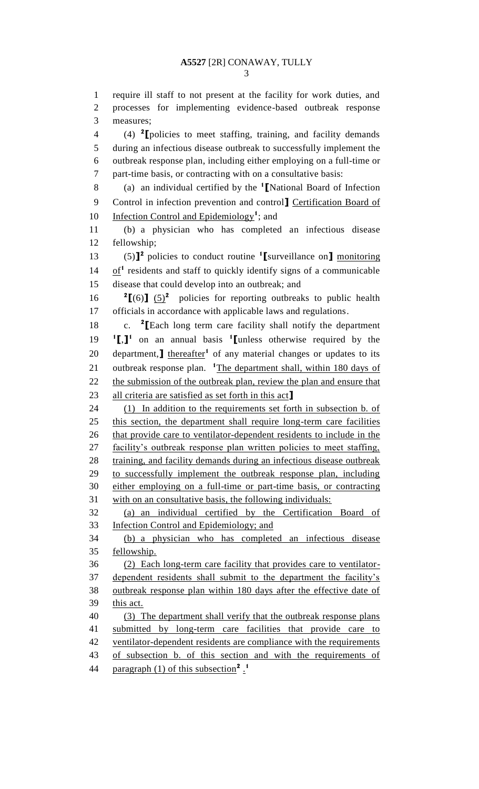require ill staff to not present at the facility for work duties, and

 processes for implementing evidence-based outbreak response measures; (4) **<sup>2</sup> [**policies to meet staffing, training, and facility demands during an infectious disease outbreak to successfully implement the outbreak response plan, including either employing on a full-time or part-time basis, or contracting with on a consultative basis: (a) an individual certified by the **<sup>1</sup> [**National Board of Infection Control in infection prevention and control**]** Certification Board of **Infection Control and Epidemiology<sup>1</sup>**; and (b) a physician who has completed an infectious disease fellowship; (5)**] 2** policies to conduct routine **<sup>1</sup> [**surveillance on**]** monitoring  $14 \quad \underline{\text{of}}^1$  residents and staff to quickly identify signs of a communicable disease that could develop into an outbreak; and  ${}^{2}$ **[**(6)**]** (5)<sup>2</sup> policies for reporting outbreaks to public health officials in accordance with applicable laws and regulations. c. **<sup>2</sup> [**Each long term care facility shall notify the department **[**,**] 1** on an annual basis **<sup>1</sup> [**unless otherwise required by the 20 department,**]** thereafter<sup>1</sup> of any material changes or updates to its 21 outbreak response plan. <sup>1</sup>The department shall, within 180 days of 22 the submission of the outbreak plan, review the plan and ensure that all criteria are satisfied as set forth in this act**]** (1) In addition to the requirements set forth in subsection b. of this section, the department shall require long-term care facilities 26 that provide care to ventilator-dependent residents to include in the 27 facility's outbreak response plan written policies to meet staffing, 28 training, and facility demands during an infectious disease outbreak to successfully implement the outbreak response plan, including either employing on a full-time or part-time basis, or contracting with on an consultative basis, the following individuals: (a) an individual certified by the Certification Board of Infection Control and Epidemiology; and

 (b) a physician who has completed an infectious disease fellowship.

 (2) Each long-term care facility that provides care to ventilator- dependent residents shall submit to the department the facility's outbreak response plan within 180 days after the effective date of 39 this act.

 (3) The department shall verify that the outbreak response plans 41 submitted by long-term care facilities that provide care to 42 ventilator-dependent residents are compliance with the requirements of subsection b. of this section and with the requirements of paragraph (1) of this subsection<sup>2</sup>.<sup>1</sup>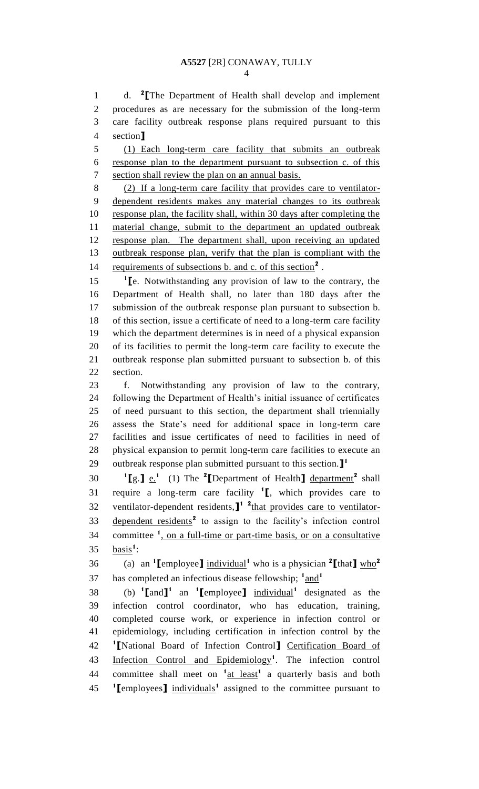d. **2 [**The Department of Health shall develop and implement procedures as are necessary for the submission of the long-term care facility outbreak response plans required pursuant to this section**]**

 (1) Each long-term care facility that submits an outbreak response plan to the department pursuant to subsection c. of this section shall review the plan on an annual basis.

 (2) If a long-term care facility that provides care to ventilator- dependent residents makes any material changes to its outbreak 10 response plan, the facility shall, within 30 days after completing the material change, submit to the department an updated outbreak response plan. The department shall, upon receiving an updated outbreak response plan, verify that the plan is compliant with the 14 requirements of subsections b. and c. of this section<sup>2</sup>.

 **[**e. Notwithstanding any provision of law to the contrary, the Department of Health shall, no later than 180 days after the submission of the outbreak response plan pursuant to subsection b. of this section, issue a certificate of need to a long-term care facility which the department determines is in need of a physical expansion of its facilities to permit the long-term care facility to execute the outbreak response plan submitted pursuant to subsection b. of this section.

 f. Notwithstanding any provision of law to the contrary, following the Department of Health's initial issuance of certificates of need pursuant to this section, the department shall triennially assess the State's need for additional space in long-term care facilities and issue certificates of need to facilities in need of physical expansion to permit long-term care facilities to execute an outbreak response plan submitted pursuant to this section.**] 1** 

**1I** g. **]**  $e^{i}$  (1) The <sup>2</sup> **[**Department of Health **]** department<sup>2</sup> shall 31 require a long-term care facility  $\binom{1}{k}$ , which provides care to 32 ventilator-dependent residents,<sup>1</sup> <sup>2</sup>that provides care to ventilator-33 dependent residents<sup>2</sup> to assign to the facility's infection control 34 committee <sup>1</sup>, on a full-time or part-time basis, or on a consultative 35 <u>basis</u><sup>1</sup>:

(a) an  $\text{1}$  [employee] individual<sup>1</sup> who is a physician  $\text{2}$  [that]  $\text{who}^2$  has completed an infectious disease fellowship; <sub>and</sub><sup>1</sup> 

38 (b)  $\text{I}$ [and]<sup>1</sup> an  $\text{I}$ [employee]  $\text{individual}$ <sup>1</sup> designated as the infection control coordinator, who has education, training, completed course work, or experience in infection control or epidemiology, including certification in infection control by the **[**National Board of Infection Control**]** Certification Board of 43 Infection Control and Epidemiology<sup>1</sup>. The infection control 44 committee shall meet on <sup>1</sup> a least<sup>1</sup> a quarterly basis and both **[**employees**]** individuals**<sup>1</sup>** assigned to the committee pursuant to